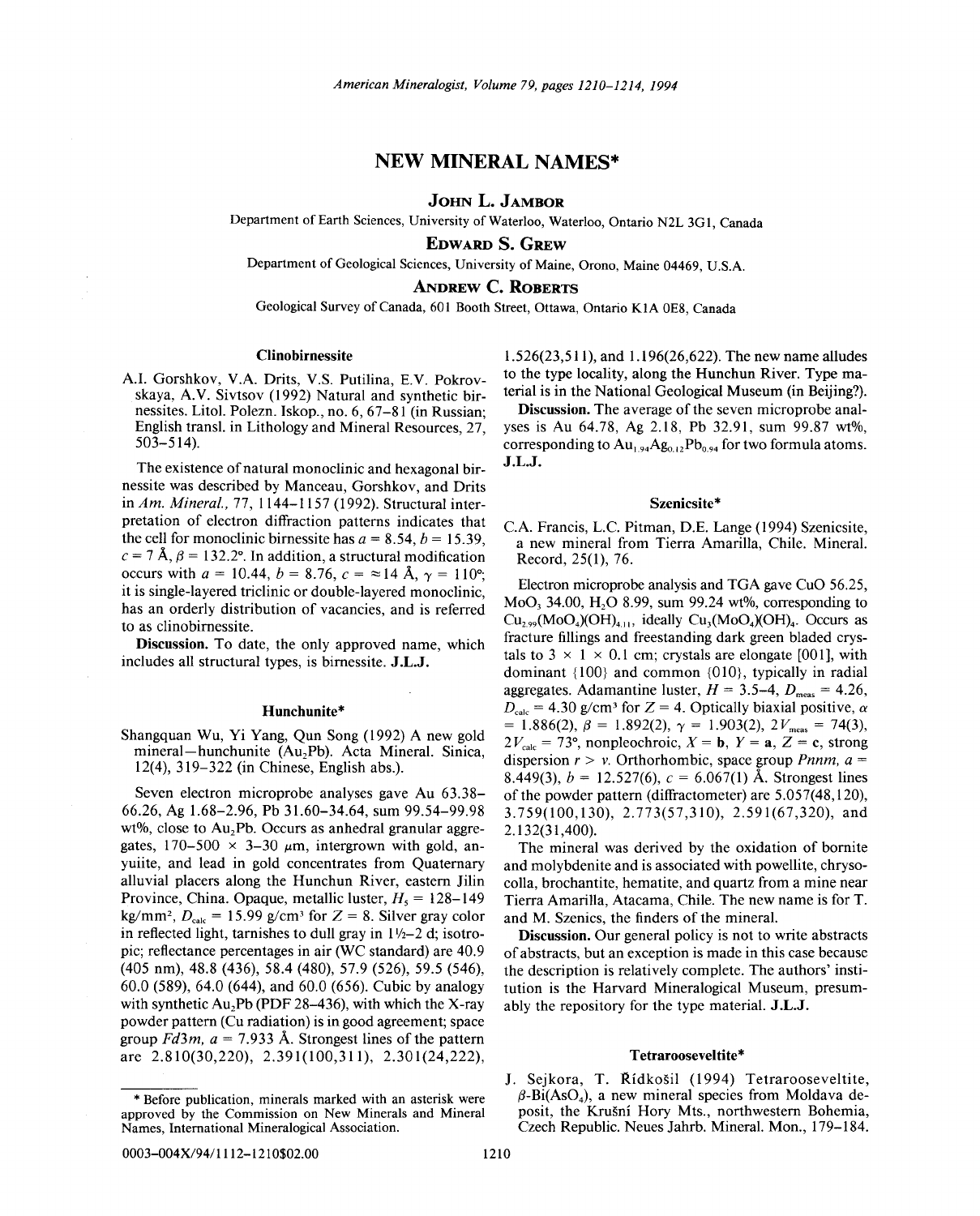## NEW MINERAL NAMES\*

## JOHN L. JAMBOR

Department of Earth Sciences, University of Waterloo, Waterloo, Ontario N2L 3GI, Canada

EDWARD S. GREW

Department of Geological Sciences, University of Maine, Orono, Maine 04469, U.S.A.

ANDREW C. ROBERTS

Geological Survey of Canada, 601 Booth Street, Ottawa, Ontario KIA OES, Canada

## Clinobirnessite

A.I. Gorshkov, V.A. Drits, V.S. Putilina, E.V. Pokrovskaya, A.V. Sivtsov (1992) Natural and synthetic birnessites. Litol. Polezn. Iskop., no. 6, 67-81 (in Russian; English transl. in Lithology and Mineral Resources, 27, 503-514).

The existence of natural monoclinic and hexagonal birnessite was described by Manceau, Gorshkov, and Drits in *Am. Mineral.,* 77, 1144-1157 (1992). Structural interpretation of electron diffraction patterns indicates that the cell for monoclinic birnessite has  $a = 8.54$ ,  $b = 15.39$ ,  $c = 7$  Å,  $\beta = 132.2^{\circ}$ . In addition, a structural modification occurs with  $a = 10.44$ ,  $b = 8.76$ ,  $c = \approx 14$  Å,  $\gamma = 110^{\circ}$ ; it is single-layered triclinic or double-layered monoclinic, has an orderly distribution of vacancies, and is referred to as clinobirnessite.

Discussion. To date, the only approved name, which includes all structural types, is birnessite. J.L.J.

## Hunchunite\*

Shangquan Wu, Yi Yang, Qun Song (1992) A new gold mineral-hunchunite (Au<sub>2</sub>Pb). Acta Mineral. Sinica, 12(4),319-322 (in Chinese, English abs.).

Seven electron microprobe analyses gave Au 63.38- 66.26, Ag 1.68-2.96, Pb 31.60-34.64, sum 99.54-99.98 wt%, close to  $Au$ <sub>2</sub>Pb. Occurs as anhedral granular aggregates,  $170-500 \times 3-30 \mu m$ , intergrown with gold, anyuiite, and lead in gold concentrates from Quaternary alluvial placers along the Hunchun River, eastern Jilin Province, China. Opaque, metallic luster,  $H_5 = 128-149$ kg/mm<sup>2</sup>,  $D_{\text{calc}} = 15.99$  g/cm<sup>3</sup> for  $Z = 8$ . Silver gray color in reflected light, tarnishes to dull gray in  $1\frac{1}{2}$ -2 d; isotropic; reflectance percentages in air (WC standard) are 40.9 (405 nm), 48.8 (436), 58.4 (480), 57.9 (526), 59.5 (546), 60.0 (589), 64.0 (644), and 60.0 (656). Cubic by analogy with synthetic  $Au_2Pb$  (PDF 28-436), with which the X-ray powder pattern (Cu radiation) is in good agreement; space group  $Fd3m$ ,  $a = 7.933$  Å. Strongest lines of the pattern are 2.810(30,220), 2.391(100,311), 2.301(24,222),

1.526(23,511), and 1.196(26,622). The new name alludes to the type locality, along the Hunchun River. Type material is in the National Geological Museum (in Beijing?).

Discussion. The average of the seven microprobe analyses is Au 64.78, Ag 2.18, Pb 32.91, sum 99.87 wt%, corresponding to  $Au_{1,94}Ag_{0,12}Pb_{0,94}$  for two formula atoms. J.L.J.

#### Szenicsite\*

C.A. Francis, L.c. Pitman, D.E. Lange (1994) Szenicsite, a new mineral from Tierra Amarilla, Chile. Mineral. Record, 25(1), 76.

Electron microprobe analysis and TGA gave CuO 56.25,  $MoO<sub>3</sub> 34.00$ , H<sub>2</sub>O 8.99, sum 99.24 wt%, corresponding to  $Cu_{2.99}(MoO<sub>4</sub>)(OH)<sub>411</sub>$ , ideally  $Cu<sub>3</sub>(MoO<sub>4</sub>)(OH)<sub>4</sub>$ . Occurs as fracture fillings and freestanding dark green bladed crystals to  $3 \times 1 \times 0.1$  cm; crystals are elongate [001], with dominant {100} and common {01O}, typically in radial aggregates. Adamantine luster,  $H = 3.5-4$ ,  $D_{\text{meas}} = 4.26$ ,  $D_{\text{calc}} = 4.30$  g/cm<sup>3</sup> for Z = 4. Optically biaxial positive,  $\alpha$ = 1.886(2),  $\beta$  = 1.892(2),  $\gamma$  = 1.903(2), 2 $V_{\text{meas}}$  = 74(3)  $2V_{\text{calc}} = 73^{\circ}$ , nonpleochroic,  $X = \mathbf{b}$ ,  $Y = \mathbf{a}$ ,  $Z = \mathbf{c}$ , strong dispersion  $r > v$ . Orthorhombic, space group *Pnnm*,  $a =$ 8.449(3),  $b = 12.527(6)$ ,  $c = 6.067(1)$  Å. Strongest lines of the powder pattern (diffractometer) are 5.057(48,120), 3.759(100,130), 2.773(57,310), 2.591(67,320), and 2.132(31,400).

The mineral was derived by the oxidation of bornite and molybdenite and is associated with powellite, chrysocolla, brochantite, hematite, and quartz from a mine near Tierra Amarilla, Atacama, Chile. The new name is for T. and M. Szenics, the finders of the mineral.

Discussion. Our general policy is not to write abstracts of abstracts, but an exception is made in this case because the description is relatively complete. The authors' institution is the Harvard Mineralogical Museum, presumably the repository for the type material. J.L.J.

#### Tetrarooseveltite\*

J. Sejkora, T. Řídkošil (1994) Tetrarooseveltite,  $\beta$ -Bi(AsO<sub>4</sub>), a new mineral species from Moldava deposit, the Krusni Hory Mts., northwestern Bohemia, Czech Republic. Neues Jahrb. Mineral. Mon., 179-184.

<sup>\*</sup> Before publication, minerals marked with an asterisk were approved by the Commission on New Minerals and Mineral Names, International Mineralogical Association.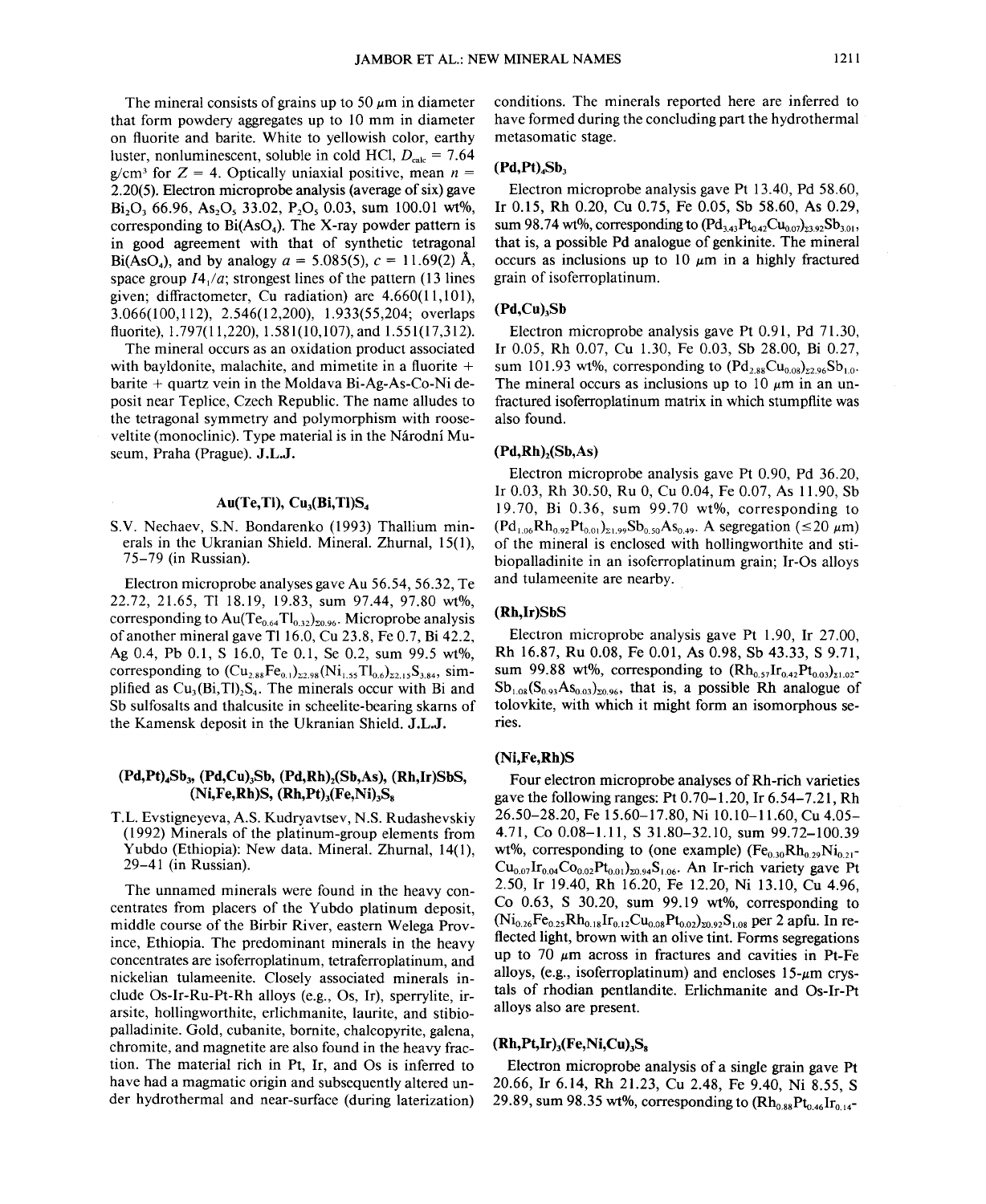The mineral consists of grains up to 50  $\mu$ m in diameter that form powdery aggregates up to 10 mm in diameter on fluorite and barite. White to yellowish color, earthy luster, nonluminescent, soluble in cold HCl,  $D_{\text{calc}} = 7.64$  $g/cm<sup>3</sup>$  for  $Z = 4$ . Optically uniaxial positive, mean  $n =$ 2.20(5). Electron microprobe analysis (average of six) gave Bi<sub>2</sub>O<sub>3</sub> 66.96, As<sub>2</sub>O<sub>3</sub> 33.02, P<sub>2</sub>O<sub>3</sub> 0.03, sum 100.01 wt%, corresponding to  $Bi(AsO<sub>4</sub>)$ . The X-ray powder pattern is in good agreement with that of synthetic tetragonal Bi(AsO<sub>4</sub>), and by analogy  $a = 5.085(5)$ ,  $c = 11.69(2)$  Å, space group *14/a;* strongest lines of the pattern (13 lines given; diffractometer, Cu radiation) are 4.660(11,101), 3.066(100,112), 2.546(12,200), 1.933(55,204; overlaps fluorite), 1.797(11,220), 1.581(10,107), and 1.551(17,312).

The mineral occurs as an oxidation product associated with bayldonite, malachite, and mimetite in a fluorite  $+$ barite + quartz vein in the Moldava Bi-Ag-As-Co-Ni deposit near Teplice, Czech Republic. The name alludes to the tetragonal symmetry and polymorphism with rooseveltite (monoclinic). Type material is in the Národní Museum, Praha (Prague). J.L.J.

## $Au(Te, TI), Cu<sub>3</sub>(Bi, TI)S<sub>4</sub>$

S.V. Nechaev, S.N. Bondarenko (1993) Thallium minerals in the Ukranian Shield. Mineral. Zhurnal, 15(1), 75-79 (in Russian).

Electron microprobe analyses gave Au 56.54, 56.32, Te 22.72, 21.65, T1 18.19, 19.83, sum 97.44, 97.80 wt%, corresponding to  $Au(Te_{0.64}Tl_{0.32})_{z_{0.96}}$ . Microprobe analysis of another mineral gave TI16.0, Cu 23.8, Fe 0.7, Bi 42.2, Ag 0.4, Pb 0.1, S 16.0, Te 0.1, Se 0.2, sum 99.5 wt%, corresponding to  $(Cu_{2.88}Fe_{0.1})_{22.98}$  (Ni<sub>1.55</sub>Tl<sub>0.6</sub>)<sub>22.15</sub>S<sub>3.84</sub>, simplified as  $Cu<sub>3</sub>(Bi, TI)<sub>2</sub>S<sub>4</sub>$ . The minerals occur with Bi and Sb sulfosalts and thalcusite in scheelite-bearing skarns of the Kamensk deposit in the Ukranian Shield. J.L.J.

## $(Pd, Pt)$ <sub>4</sub>Sb<sub>3</sub>,  $(Pd, Cu)$ <sub>3</sub>Sb,  $(Pd, Rh)$ <sub>2</sub> $(Sb, As)$ ,  $(Rh, Ir)SbS$ ,  $(Ni,Fe,Rh)S$ ,  $(Rh,Pt)$ <sub>3</sub> $(Fe,Ni)$ <sub>3</sub>S<sub>s</sub>

T.L. Evstigneyeva, A.S. Kudryavtsev, N.S. Rudashevskiy (1992) Minerals of the platinum-group elements from Yubdo (Ethiopia): New data. Mineral. Zhurnal, 14(1), 29-41 (in Russian).

The unnamed minerals were found in the heavy concentrates from placers of the Yubdo platinum deposit, middle course of the Birbir River, eastern Welega Province, Ethiopia. The predominant minerals in the heavy concentrates are isoferroplatinum, tetraferroplatinum, and nickelian tulameenite. Closely associated minerals include Os-Ir-Ru-Pt-Rh alloys (e.g., Os, Ir), sperrylite, irarsite, hollingworthite, erlichmanite, laurite, and stibiopalladinite. Gold, cubanite, bornite, chalcopyrite, galena, chromite, and magnetite are also found in the heavy fraction. The material rich in Pt, Ir, and Os is inferred to have had a magmatic origin and subsequently altered under hydrothermal and near-surface (during laterization)

conditions. The minerals reported here are inferred to have formed during the concluding part the hydrothermal metasomatic stage.

## $(Pd, Pt)$ <sub>4</sub> $Sb<sub>3</sub>$

Electron microprobe analysis gave Pt 13.40, Pd 58.60, Ir 0.15, Rh 0.20, Cu 0.75, Fe 0.05, Sb 58.60, As 0.29, sum 98.74 wt%, corresponding to  $(Pd_{3.43}Pt_{0.42}Cu_{0.07})_{33.92}Sb_{3.01}$ that is, a possible Pd analogue of genkinite. The mineral occurs as inclusions up to 10  $\mu$ m in a highly fractured grain of isoferroplatinum.

## $(Pd,Cu)$ <sub>3</sub>Sb

Electron microprobe analysis gave Pt 0.91, Pd 71.30, Ir 0.05, Rh 0.07, Cu 1.30, Fe 0.03, Sb 28.00, Bi 0.27, sum 101.93 wt%, corresponding to  $( Pd_{2.88}Cu_{0.08})_{2.296}Sb_{1.0}$ . The mineral occurs as inclusions up to 10  $\mu$ m in an unfractured isoferroplatinum matrix in which stumpflite was also found.

## $(Pd,Rh)$ <sub>,</sub> $(Sb, As)$

Electron microprobe analysis gave Pt 0.90, Pd 36.20, Ir 0.03, Rh 30.50, Ru 0, Cu 0.04, Fe 0.07, As 11.90, Sb 19.70, Bi 0.36, sum 99.70 wt%, corresponding to  $(Pd_{1.06}Rh_{0.92}Pt_{0.01})_{\Sigma1.99}Sb_{0.50}As_{0.49}$ . A segregation ( $\leq 20 \ \mu m$ ) of the mineral is enclosed with hollingworthite and stibiopalladinite in an isoferroplatinum grain; Ir-Os alloys and tulameenite are nearby.

## (Rh,Ir)SbS

Electron microprobe analysis gave Pt 1.90, Ir 27.00, Rh 16.87, Ru 0.08, Fe 0.01, As 0.98, Sb 43.33, S 9.71, sum 99.88 wt%, corresponding to  $(Rh_{0.57}Ir_{0.42}Pt_{0.03})_{\Sigma1.02}$ - $Sb_{1.08}(S_{0.93}As_{0.03})_{z0.96}$ , that is, a possible Rh analogue of tolovkite, with which it might form an isomorphous series.

## (Ni,Fe,Rh)S

Four electron microprobe analyses of Rh-rich varieties gave the following ranges: Pt 0.70-1.20, Ir 6.54-7.21, Rh 26.50-28.20, Fe 15.60-17.80, Ni 10.10-11.60, Cu 4.05- 4.71, Co 0.08-1.11, S 31.80-32.10, sum 99.72-100.39 wt%, corresponding to (one example)  $(Fe<sub>0.30</sub>Rh<sub>0.29</sub>Ni<sub>0.21</sub>$  $Cu_{0.07}Ir_{0.04}Co_{0.02}Pt_{0.01}$ <sub>20.94</sub>S<sub>1.06</sub>. An Ir-rich variety gave Pt 2.50, Ir 19.40, Rh 16.20, Fe 12.20, Ni 13.10, Cu 4.96, Co 0.63, S 30.20, sum 99.19 wt%, corresponding to  $(Ni_{0.26}Fe_{0.25}Rh_{0.18}Ir_{0.12}Cu_{0.08}Pt_{0.02})_{\text{20.92}}S_{1.08}$  per 2 apfu. In reflected light, brown with an olive tint. Forms segregations up to 70  $\mu$ m across in fractures and cavities in Pt-Fe alloys, (e.g., isoferroplatinum) and encloses 15- $\mu$ m crystals of rhodian pentlandite. Erlichmanite and Os-Ir-Pt alloys also are present.

## $(Rh, Pt, Ir)$ <sub>3</sub> $(Fe, Ni, Cu)$ <sub>3</sub>S<sub>s</sub>

Electron microprobe analysis of a single grain gave Pt 20.66, Ir 6.14, Rh 21.23, Cu 2.48, Fe 9.40, Ni 8.55, S 29.89, sum 98.35 wt%, corresponding to  $(Rh_{0.88}Pt_{0.46}Ir_{0.14}$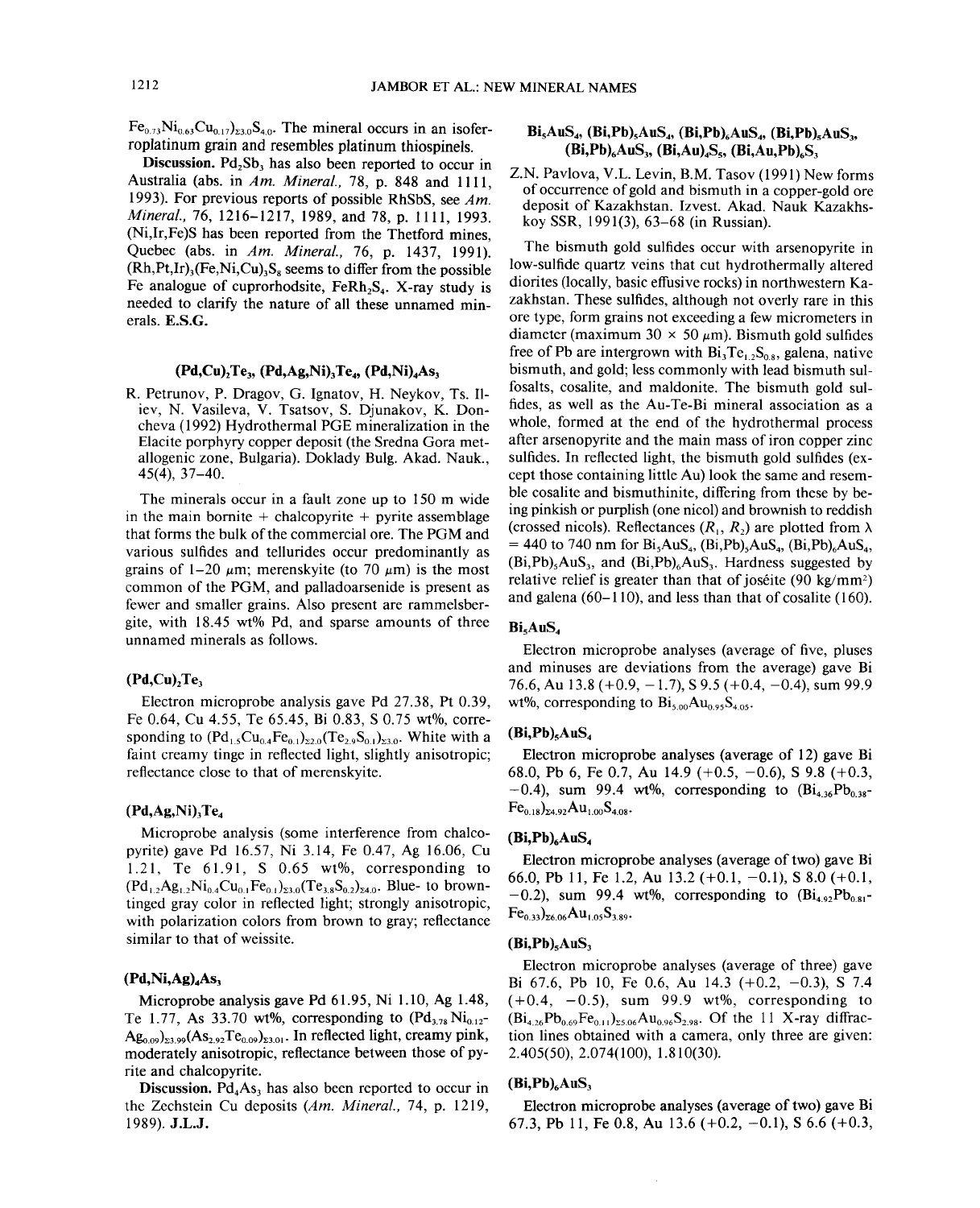$Fe<sub>0.73</sub>Ni<sub>0.63</sub>Cu<sub>0.17</sub>$ <sub>23.0</sub>S<sub>4.0</sub>. The mineral occurs in an isoferroplatinum grain and resembles platinum thiospinels.

Discussion. Pd<sub>2</sub>Sb<sub>3</sub> has also been reported to occur in Australia (abs. in *Am. Mineral.,* 78, p. 848 and 1111, 1993). For previous reports of possible RhSbS, see *Am. Mineral.,* 76,1216-1217,1989, and 78, p. 1111, 1993. (Ni,Ir,Fe)S has been reported from the Thetford mines, Quebec (abs. in *Am. Mineral.,* 76, p. 1437, 1991).  $(Rh, Pt, Ir)_{3}$  (Fe, Ni, Cu)<sub>3</sub>S<sub>8</sub> seems to differ from the possible Fe analogue of cuprorhodsite,  $F_RRh_2S_4$ . X-ray study is needed to clarify the nature of all these unnamed minerals. E.S.G.

## $(Pd,Cu)$ , Te<sub>3</sub>.  $(Pd,Ag,Ni)$ , Te<sub>4</sub>.  $(Pd,Ni)$ , As<sub>3</sub>

R. Petrunov, P. Dragov, G. Ignatov, H. Neykov, Ts. 11 iev, N. Vasileva, V. Tsatsov, S. Djunakov, K. Doncheva (1992) Hydrothermal PGE mineralization in the Elacite porphyry copper deposit (the Sredna Gora metallogenic zone, Bulgaria). Doklady Bulg. Akad. Nauk., 45(4), 37-40.

The minerals occur in a fault zone up to 150 m wide in the main bornite  $+$  chalcopyrite  $+$  pyrite assemblage that forms the bulk of the commercial ore. The PGM and various sulfides and tellurides occur predominantly as grains of  $1-20 \mu m$ ; merenskyite (to 70  $\mu$ m) is the most common of the PGM, and palladoarsenide is present as fewer and smaller grains. Also present are rammelsbergite, with 18.45 wt% Pd, and sparse amounts of three unnamed minerals as follows.

## $(Pd,Cu)$ <sub>2</sub>Te<sub>3</sub>

Electron microprobe analysis gave Pd 27.38, Pt 0.39, Fe 0.64, Cu 4.55, Te 65.45, Bi 0.83, S 0.75 wt%, corresponding to  $(Pd_1, Cu_0, Fe_{0.1})_{22.0}(Te_2, S_{0.1})_{23.0}$ . White with a faint creamy tinge in reflected light, slightly anisotropic; reflectance close to that of merenskyite.

## $(Pd, Ag, Ni)$ , Te<sub>4</sub>

Microprobe analysis (some interference from chalcopyrite) gave Pd 16.57, Ni 3.14, Fe 0.47, Ag 16.06, Cu 1.21, Te 61.91, S 0.65 wt%, corresponding to  $(Pd_{1,2}Ag_{1,2}Ni_{0,4}Cu_{0,1}Fe_{0,1})_{23,0}(Te_{3,8}S_{0,2})_{24,0}$ . Blue- to browntinged gray color in reflected light; strongly anisotropic, with polarization colors from brown to gray; reflectance similar to that of weissite.

## $(Pd, Ni, Ag)<sub>4</sub>As<sub>3</sub>$

Microprobe analysis gave Pd 61.95, Ni 1.10, Ag 1.48, Te 1.77, As 33.70 wt%, corresponding to  $(\text{Pd}_{3.78}\text{Ni}_{0.12}$ - $A_{\mathcal{B}_{0.09}}$ <sub>23.99</sub>(As<sub>2.92</sub>Te<sub>0.09</sub>)<sub>23.01</sub>. In reflected light, creamy pink, moderately anisotropic, reflectance between those of pyrite and chalcopyrite.

Discussion. Pd.As, has also been reported to occur in the Zechstein Cu deposits *(Am. Mineral.,* 74, p. 1219, 1989). J.L.J.

## $Bi<sub>5</sub>AuS<sub>4</sub>$ ,  $(Bi<sub>1</sub>Pb)<sub>5</sub>AuS<sub>4</sub>$ ,  $(Bi<sub>1</sub>Pb)<sub>6</sub>AuS<sub>3</sub>$ ,  $(Bi<sub>1</sub>Pb)<sub>6</sub>AuS<sub>3</sub>$ ,  $(Bi, Pb)_6AuS_3$ ,  $(Bi, Au)_4S_5$ ,  $(Bi, Au, Pb)_6S_3$

Z.N. Pavlova, V.L. Levin, B.M. Tasov (1991) New forms of occurrence of gold and bismuth in a copper-gold ore deposit of Kazakhstan. Izvest. Akad. Nauk Kazakhskov SSR, 1991(3), 63–68 (in Russian).

The bismuth gold sulfides occur with arsenopyrite in low-sulfide quartz veins that cut hydrothermally altered diorites (locally, basic effusive rocks) in northwestern Kazakhstan. These sulfides, although not overly rare in this ore type, form grains not exceeding a few micrometers in diameter (maximum 30  $\times$  50  $\mu$ m). Bismuth gold sulfides free of Pb are intergrown with  $Bi<sub>3</sub>Te<sub>1.2</sub>S<sub>0.8</sub>$ , galena, native bismuth, and gold; less commonly with lead bismuth sulfosalts, cosalite, and maldonite. The bismuth gold sulfides, as well as the Au-Te-Bi mineral association as a whole, formed at the end of the hydrothermal process after arsenopyrite and the main mass of iron copper zinc sulfides. In reflected light, the bismuth gold sulfides (except those containing little Au) look the same and resemble cosalite and bismuthinite, differing from these by being pinkish or purplish (one nicol) and brownish to reddish (crossed nicols). Reflectances  $(R_1, R_2)$  are plotted from  $\lambda$  $= 440$  to 740 nm for Bi<sub>s</sub>AuS<sub>4</sub>, (Bi,Pb)<sub>5</sub>AuS<sub>4</sub>, (Bi,Pb)<sub>6</sub>AuS<sub>4</sub>,  $(Bi, Pb)$ , AuS<sub>3</sub>, and  $(Bi, Pb)$ <sub>6</sub>AuS<sub>3</sub>. Hardness suggested by relative relief is greater than that of joséite  $(90 \text{ kg/mm}^2)$ and galena (60-110), and less than that of cosalite (160).

## Bi.AuS.

Electron microprobe analyses (average of five, pluses and minuses are deviations from the average) gave Bi 76.6, Au  $13.8 (+0.9, -1.7)$ , S  $9.5 (+0.4, -0.4)$ , sum  $99.9$ wt%, corresponding to  $Bi<sub>5.00</sub>Au<sub>0.95</sub>S<sub>4.05</sub>$ .

## $(Bi, Pb), AuS<sub>4</sub>$

Electron microprobe analyses (average of 12) gave Bi 68.0, Pb 6, Fe 0.7, Au 14.9 (+0.5, -0.6), S 9.8 (+0.3,  $-0.4$ ), sum 99.4 wt%, corresponding to  $\left(Bi_{4.36}Pb_{0.38}-\right)$  $Fe_{0.18}$ <sub>24.92</sub>Au<sub>1.00</sub>S<sub>4.08</sub>.

## $(Bi, Pb)$ <sub>6</sub>AuS<sub>4</sub>

Electron microprobe analyses (average of two) gave Bi 66.0, Pb 11, Fe 1.2, Au 13.2 (+0.1, -0.1), S 8.0 (+0.1,  $-0.2$ ), sum 99.4 wt%, corresponding to  $(Bi_{4.9}, Pb_{0.81}$  $Fe<sub>0.33</sub>$ <sub>26.06</sub>Au<sub>1.05</sub>S<sub>3.89</sub>.

## $(Bi, Pb)_{5}AuS_{3}$

Electron microprobe analyses (average of three) gave Bi 67.6, Pb 10, Fe 0.6, Au 14.3  $(+0.2, -0.3)$ , S 7.4  $(+0.4, -0.5)$ , sum 99.9 wt%, corresponding to  $(Bi_{4,26}Pb_{0,69}Fe_{0,11})_{25,06}Au_{0,96}S_{2,98}$ . Of the 11 X-ray diffraction lines obtained with a camera, only three are given: 2.405(50), 2.074(100), 1.810(30).

### $(Bi, Pb)$ <sub>6</sub>AuS<sub>3</sub>

Electron microprobe analyses (average of two) gave Bi 67.3, Pb 11, Fe 0.8, Au 13.6 (+0.2, -0.1), S 6.6 (+0.3,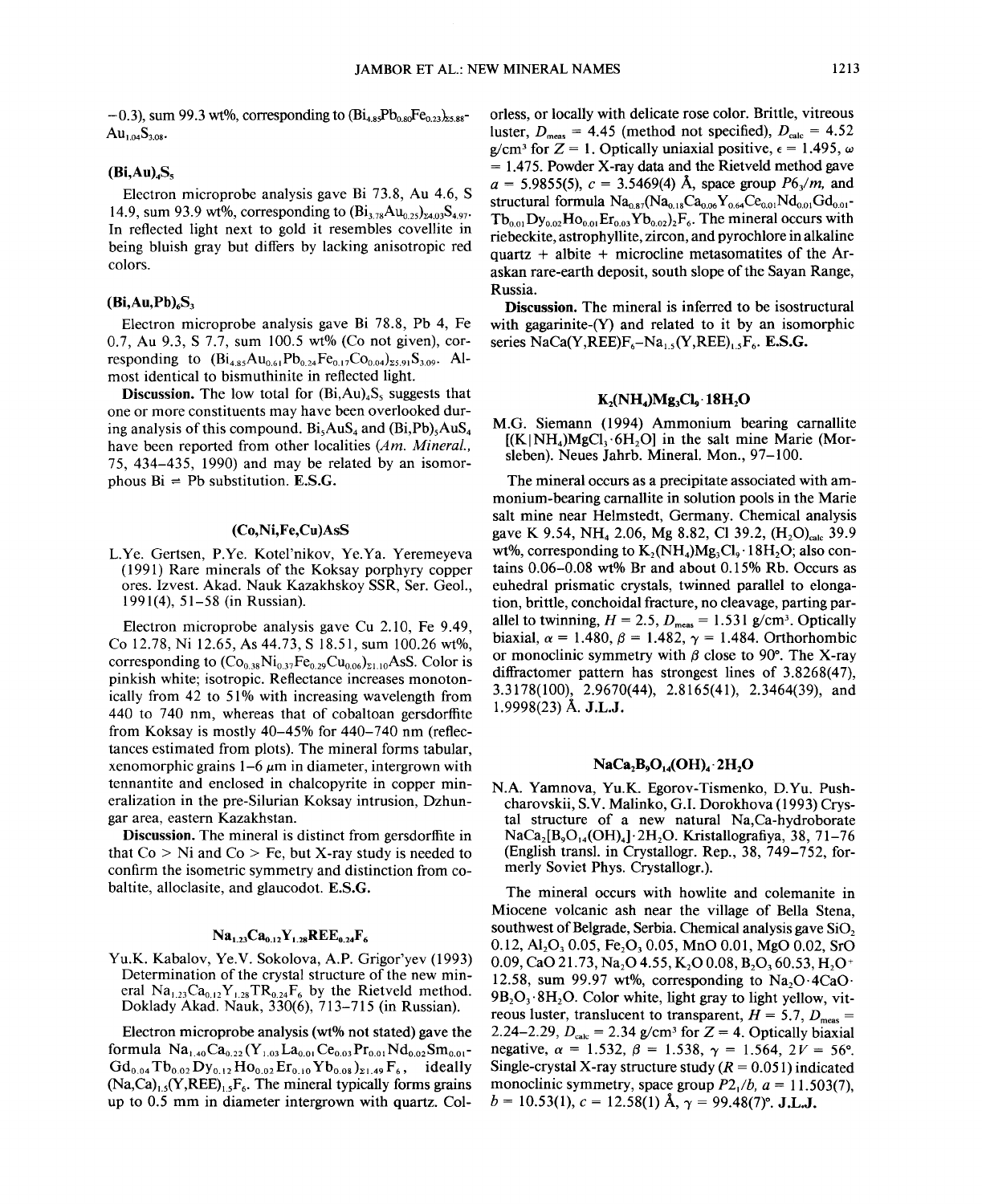$-0.3$ ), sum 99.3 wt%, corresponding to  $(Bi_{4.85}Pb_{0.80}Fe_{0.23})_{25.88}$  $Au_{1.04}S_{3.08}$ 

## $(Bi,Au)$ <sub>4</sub>S<sub>s</sub>

Electron microprobe analysis gave Bi 73.8, Au 4.6, S 14.9, sum 93.9 wt%, corresponding to  $(Bi_{3.78}Au_{0.25})_{24.03}S_{4.97}$ . In reflected light next to gold it resembles covellite in being bluish gray but differs by lacking anisotropic red colors.

## $(Bi,Au,Pb)$ <sub>6</sub>S<sub>3</sub>

Electron microprobe analysis gave Bi 78.8, Pb 4, Fe 0.7, Au 9.3, S 7.7, sum 100.5 wt% (Co not given), corresponding to  $(Bi_{4.85}Au_{0.61}Pb_{0.24}Fe_{0.17}Co_{0.04})_{25.91}S_{3.09}$ . Almost identical to bismuthinite in reflected light.

**Discussion.** The low total for  $(Bi,Au)_{4}S_{5}$  suggests that one or more constituents may have been overlooked during analysis of this compound.  $Bi<sub>s</sub>AuS<sub>4</sub>$  and  $(Bi<sub>s</sub>Pb)<sub>s</sub>AuS<sub>4</sub>$ have been reported from other localities *(Am. Mineral.,* 75, 434-435, 1990) and may be related by an isomorphous  $\text{Bi} = \text{Pb}$  substitution. **E.S.G** 

## (Co,Ni,Fe,Cu)AsS

L.Ye. Gertsen, P.Ye. Kotel'nikov, Ye.Ya. Yeremeyeva (1991) Rare minerals of the Koksay porphyry copper ores. Izvest. Akad. Nauk Kazakhskoy SSR, Ser. Geol., 1991(4),51-58 (in Russian).

Electron microprobe analysis gave Cu 2.10, Fe 9.49, Co 12.78, Ni 12.65, As 44.73, S 18.51, sum 100.26 wt%, corresponding to  $(Co_{0.38}Ni_{0.37}Fe_{0.29}Cu_{0.06})_{21.10}$ AsS. Color is pinkish white; isotropic. Reflectance increases monotonically from 42 to 51% with increasing wavelength from 440 to 740 nm, whereas that of cobaltoan gersdorffite from Koksay is mostly 40-45% for 440-740 nm (reflectances estimated from plots). The mineral forms tabular, xenomorphic grains  $1-6 \mu m$  in diameter, intergrown with tennantite and enclosed in chalcopyrite in copper mineralization in the pre-Silurian Koksay intrusion, Dzhungar area, eastern Kazakhstan.

Discussion. The mineral is distinct from gersdorffite in that  $Co > Ni$  and  $Co > Fe$ , but X-ray study is needed to confirm the isometric symmetry and distinction from cobaltite, alloclasite, and glaucodot. E.S.G.

## $Na_{1.23}Ca_{0.12}Y_{1.28}REE_{0.24}F_6$

YU.K. Kabalov, Ye.Y. Sokolova, A.P. Grigor'yev (1993) Determination of the crystal structure of the new mineral  $Na_{1,23}Ca_{0,12}Y_{1,28}TR_{0,24}F_6$  by the Rietveld method. Doklady Akad. Nauk, 330(6), 713-715 (in Russian).

Electron microprobe analysis (wt% not stated) gave the formula  $Na<sub>1.40</sub>Ca<sub>0.22</sub>(Y<sub>1.03</sub>La<sub>0.01</sub>Ce<sub>0.03</sub>Pr<sub>0.01</sub>Nd<sub>0.02</sub>Sm<sub>0.01</sub>$  $Gd_{0.04} Tb_{0.02} Dy_{0.12} Ho_{0.02} Er_{0.10} Yb_{0.08}$ <sub>21.49</sub>F<sub>6</sub>, ideally  $(Na,Ca)_{1.5}(Y,REE)_{1.5}F_6$ . The mineral typically forms grains up to 0.5 mm in diameter intergrown with quartz. Colorless, or locally with delicate rose color. Brittle, vitreous luster,  $D_{\text{meas}} = 4.45$  (method not specified),  $D_{\text{calc}} = 4.52$  $g/cm^3$  for  $Z = 1$ . Optically uniaxial positive,  $\epsilon = 1.495$ ,  $\omega$  $= 1.475$ . Powder X-ray data and the Rietveld method gave  $a = 5.9855(5)$ ,  $c = 3.5469(4)$  Å, space group  $P6\sqrt{m}$ , and structural formula  $Na_{0.87}(Na_{0.18}Ca_{0.06}Y_{0.64}Ce_{0.01}Nd_{0.01}Gd_{0.01}$  $Tb_{0.01}Dy_{0.02}Ho_{0.01}Er_{0.03}Yb_{0.02}ZF_6$ . The mineral occurs with riebeckite, astrophyllite, zircon, and pyrochlore in alkaline quartz + albite + microcline metasomatites of the Araskan rare-earth deposit, south slope of the Sayan Range, Russia.

Discussion. The mineral is inferred to be isostructural with gagarinite-(Y) and related to it by an isomorphic series  $NaCa(Y,REE)F -Na$ .  $(Y,REE)$ .  $F<sub>6</sub>$ . E.S.G.

## $K<sub>2</sub>(NH<sub>4</sub>)Mg<sub>3</sub>Cl<sub>3</sub>·18H<sub>2</sub>O$

M.G. Siemann (1994) Ammonium bearing carnallite  $[(K|NH<sub>4</sub>)McCl<sub>3</sub>·6H<sub>2</sub>O]$  in the salt mine Marie (MorsIeben). Neues Jahrb. Mineral. Mon., 97-100.

The mineral occurs as a precipitate associated with ammonium-bearing carnallite in solution pools in the Marie salt mine near Helmstedt, Germany. Chemical analysis gave K 9.54, NH<sub>4</sub> 2.06, Mg 8.82, Cl 39.2,  $(H, O)_{calc}$  39.9 wt%, corresponding to  $K_2(NH_4)Mg_3Cl_6 \cdot 18H_2O$ ; also contains 0.06-0.08 wt% Br and about 0.15% Rb. Occurs as euhedral prismatic crystals, twinned parallel to elongation, brittle, conchoidal fracture, no cleavage, parting parallel to twinning,  $H = 2.5$ ,  $D_{\text{meas}} = 1.531$  g/cm<sup>3</sup>. Optically biaxial,  $\alpha = 1.480, \beta = 1.482, \gamma = 1.484$ . Orthorhombic or monoclinic symmetry with  $\beta$  close to 90°. The X-ray diffractomer pattern has strongest lines of 3.8268(47), 3.3178(100), 2.9670(44), 2.8165(41), 2.3464(39), and 1.9998(23) A. J.L.J.

## $NaCa<sub>2</sub>B<sub>9</sub>O<sub>14</sub>(OH)<sub>4</sub>$ . 2H<sub>2</sub>O

N.A. Yamnova, YU.K. Egorov-Tismenko, D.Yu. Pushcharovskii, S.Y. Malinko, G.!. Dorokhova (1993) Crystal structure of a new natural Na,Ca-hydroborate  $NaCa<sub>2</sub>[B<sub>9</sub>O<sub>14</sub>(OH)<sub>4</sub>]$ . 2H<sub>2</sub>O. Kristallografiya, 38, 71-76 (English transl. in Crystallogr. Rep., 38, 749-752, formerly Soviet Phys. Crystallogr.).

The mineral occurs with howlite and colemanite in Miocene volcanic ash near the village of Bella Stena, southwest of Belgrade, Serbia. Chemical analysis gave SiO. 0.12,  $Al_2O_3$  0.05, Fe<sub>2</sub>O<sub>3</sub> 0.05, MnO 0.01, MgO 0.02, SrO 0.09, CaO 21.73, Na<sub>2</sub>O 4.55, K<sub>2</sub>O 0.08, B<sub>2</sub>O<sub>3</sub> 60.53, H<sub>2</sub>O<sup>+</sup> 12.58, sum 99.97 wt%, corresponding to  $Na_2O \cdot 4CaO$ .  $9B_2O_3.8H_2O$ . Color white, light gray to light yellow, vitreous luster, translucent to transparent,  $H = 5.7, D<sub>meas</sub>$ 2.24-2.29,  $D_{\text{calc}} = 2.34$  g/cm<sup>3</sup> for  $Z = 4$ . Optically biaxial negative,  $\alpha = 1.532$ ,  $\beta = 1.538$ ,  $\gamma = 1.564$ ,  $2V = 56^{\circ}$ . Single-crystal X-ray structure study  $(R = 0.051)$  indicated monoclinic symmetry, space group  $P2_1/b$ ,  $a = 11.503(7)$ ,  $b = 10.53(1), c = 12.58(1)$  Å,  $\gamma = 99.48(7)$ °. J.L.J.